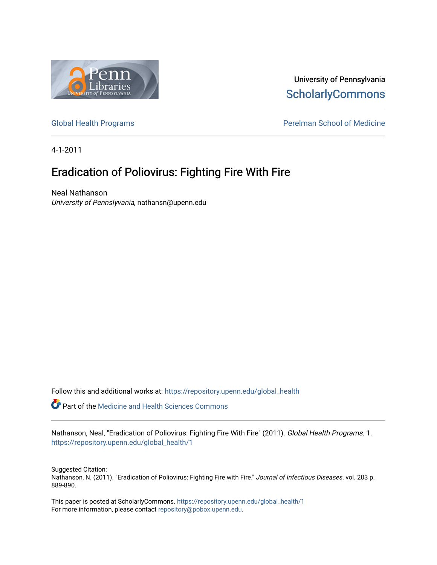

University of Pennsylvania **ScholarlyCommons** 

[Global Health Programs](https://repository.upenn.edu/global_health) **Perelman School of Medicine** 

4-1-2011

## Eradication of Poliovirus: Fighting Fire With Fire

Neal Nathanson University of Pennslyvania, nathansn@upenn.edu

Follow this and additional works at: [https://repository.upenn.edu/global\\_health](https://repository.upenn.edu/global_health?utm_source=repository.upenn.edu%2Fglobal_health%2F1&utm_medium=PDF&utm_campaign=PDFCoverPages) 

**P** Part of the Medicine and Health Sciences Commons

Nathanson, Neal, "Eradication of Poliovirus: Fighting Fire With Fire" (2011). Global Health Programs. 1. [https://repository.upenn.edu/global\\_health/1](https://repository.upenn.edu/global_health/1?utm_source=repository.upenn.edu%2Fglobal_health%2F1&utm_medium=PDF&utm_campaign=PDFCoverPages) 

Suggested Citation: Nathanson, N. (2011). "Eradication of Poliovirus: Fighting Fire with Fire." Journal of Infectious Diseases. vol. 203 p. 889-890.

This paper is posted at ScholarlyCommons. [https://repository.upenn.edu/global\\_health/1](https://repository.upenn.edu/global_health/1)  For more information, please contact [repository@pobox.upenn.edu.](mailto:repository@pobox.upenn.edu)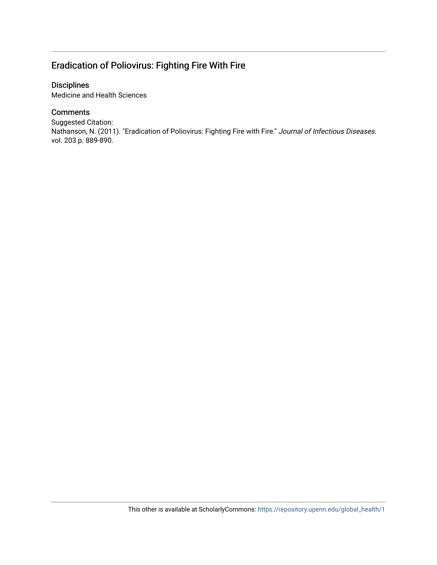## Eradication of Poliovirus: Fighting Fire With Fire

### Disciplines

Medicine and Health Sciences

### **Comments**

Suggested Citation: Nathanson, N. (2011). "Eradication of Poliovirus: Fighting Fire with Fire." Journal of Infectious Diseases. vol. 203 p. 889-890.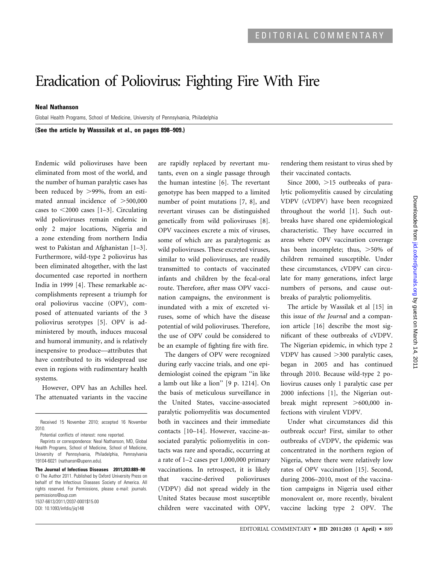# Eradication of Poliovirus: Fighting Fire With Fire

#### Neal Nathanson

Global Health Programs, School of Medicine, University of Pennsylvania, Philadelphia

(See the article by Wasssilak et al., on pages 898–909.)

Endemic wild polioviruses have been eliminated from most of the world, and the number of human paralytic cases has been reduced by  $>99\%$ , from an estimated annual incidence of  $>500,000$ cases to  $\leq$ 2000 cases [1–3]. Circulating wild polioviruses remain endemic in only 2 major locations, Nigeria and a zone extending from northern India west to Pakistan and Afghanistan [1–3]. Furthermore, wild-type 2 poliovirus has been eliminated altogether, with the last documented case reported in northern India in 1999 [4]. These remarkable accomplishments represent a triumph for oral poliovirus vaccine (OPV), composed of attenuated variants of the 3 poliovirus serotypes [5]. OPV is administered by mouth, induces mucosal and humoral immunity, and is relatively inexpensive to produce—attributes that have contributed to its widespread use even in regions with rudimentary health systems.

However, OPV has an Achilles heel. The attenuated variants in the vaccine

are rapidly replaced by revertant mutants, even on a single passage through the human intestine [6]. The revertant genotype has been mapped to a limited number of point mutations [7, 8], and revertant viruses can be distinguished genetically from wild polioviruses [8]. OPV vaccinees excrete a mix of viruses, some of which are as paralytogenic as wild polioviruses. These excreted viruses, similar to wild polioviruses, are readily transmitted to contacts of vaccinated infants and children by the fecal-oral route. Therefore, after mass OPV vaccination campaigns, the environment is inundated with a mix of excreted viruses, some of which have the disease potential of wild polioviruses. Therefore, the use of OPV could be considered to be an example of fighting fire with fire.

The dangers of OPV were recognized during early vaccine trials, and one epidemiologist coined the epigram ''in like a lamb out like a lion'' [9 p. 1214]. On the basis of meticulous surveillance in the United States, vaccine-associated paralytic poliomyelitis was documented both in vaccinees and their immediate contacts [10–14]. However, vaccine-associated paralytic poliomyelitis in contacts was rare and sporadic, occurring at a rate of 1–2 cases per 1,000,000 primary vaccinations. In retrospect, it is likely that vaccine-derived polioviruses (VDPV) did not spread widely in the United States because most susceptible children were vaccinated with OPV, rendering them resistant to virus shed by their vaccinated contacts.

Since 2000,  $>15$  outbreaks of paralytic poliomyelitis caused by circulating VDPV (cVDPV) have been recognized throughout the world [1]. Such outbreaks have shared one epidemiological characteristic. They have occurred in areas where OPV vaccination coverage has been incomplete; thus,  $>50\%$  of children remained susceptible. Under these circumstances, cVDPV can circulate for many generations, infect large numbers of persons, and cause outbreaks of paralytic poliomyelitis.

The article by Wassilak et al [15] in this issue of the Journal and a companion article [16] describe the most significant of these outbreaks of cVDPV. The Nigerian epidemic, in which type 2 VDPV has caused >300 paralytic cases, began in 2005 and has continued through 2010. Because wild-type 2 poliovirus causes only 1 paralytic case per 2000 infections [1], the Nigerian outbreak might represent  $>600,000$  infections with virulent VDPV.

Under what circumstances did this outbreak occur? First, similar to other outbreaks of cVDPV, the epidemic was concentrated in the northern region of Nigeria, where there were relatively low rates of OPV vaccination [15]. Second, during 2006–2010, most of the vaccination campaigns in Nigeria used either monovalent or, more recently, bivalent vaccine lacking type 2 OPV. The

Received 15 November 2010; accepted 16 November 2010.

Potential conflicts of interest: none reported.

Reprints or correspondence: Neal Nathanson, MD, Global Health Programs, School of Medicine, School of Medicine, University of Pennsylvania, Philadelphia, Pennsylvania 19104-6021 (nathansn@upenn.edu).

The Journal of Infectious Diseases 2011;203:889–90 The Author 2011. Published by Oxford University Press on behalf of the Infectious Diseases Society of America. All rights reserved. For Permissions, please e-mail: journals. permissions@oup.com 1537-6613/2011/2037-0001\$15.00 DOI: 10.1093/infdis/jiq148